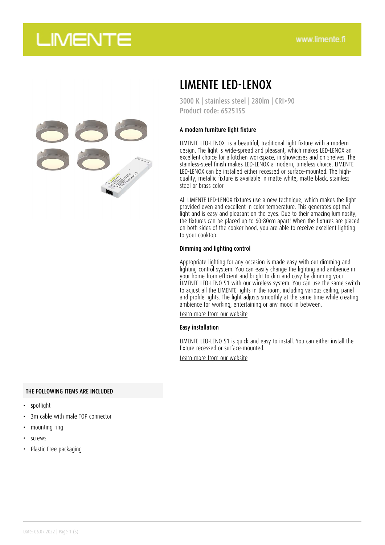

### LIMENTE LED-LENOX

3000 K | stainless steel | 280lm | CRI>90 Product code: 65251S5

#### A modern furniture light fixture

LIMENTE LED-LENOX is a beautiful, traditional light fixture with a modern design. The light is wide-spread and pleasant, which makes LED-LENOX an excellent choice for a kitchen workspace, in showcases and on shelves. The stainless-steel finish makes LED-LENOX a modern, timeless choice. LIMENTE LED-LENOX can be installed either recessed or surface-mounted. The highquality, metallic fixture is available in matte white, matte black, stainless steel or brass color

All LIMENTE LED-LENOX fixtures use a new technique, which makes the light provided even and excellent in color temperature. This generates optimal light and is easy and pleasant on the eyes. Due to their amazing luminosity, the fixtures can be placed up to 60-80cm apart! When the fixtures are placed on both sides of the cooker hood, you are able to receive excellent lighting to your cooktop.

#### Dimming and lighting control

Appropriate lighting for any occasion is made easy with our dimming and lighting control system. You can easily change the lighting and ambience in your home from efficient and bright to dim and cosy by dimming your LIMENTE LED-LENO 51 with our wireless system. You can use the same switch to adjust all the LIMENTE lights in the room, including various ceiling, panel and profile lights. The light adjusts smoothly at the same time while creating ambience for working, entertaining or any mood in between.

[Learn more from our website](https://www.limente.fi/tuotteet/65251S5)

#### Easy installation

LIMENTE LED-LENO 51 is quick and easy to install. You can either install the fixture recessed or surface-mounted.

[Learn more from our website](https://www.limente.fi/tuotteet/65251S5)

#### THE FOLLOWING ITEMS ARE INCLUDED

- spotlight
- 3m cable with male TOP connector
- mounting ring
- screws
- Plastic Free packaging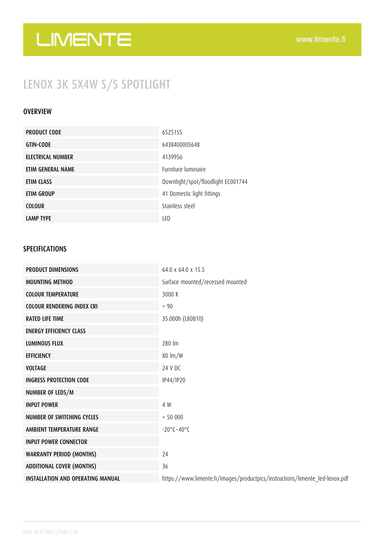## LENOX 3K 5X4W S/S SPOTLIGHT

#### **OVERVIEW**

| <b>PRODUCT CODE</b> | 6525155                            |
|---------------------|------------------------------------|
| <b>GTIN-CODE</b>    | 6438400005648                      |
| ELECTRICAL NUMBER   | 4139956                            |
| ETIM GENERAL NAME   | Eurniture luminaire                |
| ETIM CLASS          | Downlight/spot/floodlight EC001744 |
| ETIM GROUP          | 41 Domestic light fittings         |
| <b>COLOUR</b>       | Stainless steel                    |
| <b>LAMP TYPE</b>    | LED                                |

#### SPECIFICATIONS

| <b>PRODUCT DIMENSIONS</b>                | 64.0 x 64.0 x 15.5                                                           |
|------------------------------------------|------------------------------------------------------------------------------|
| <b>MOUNTING METHOD</b>                   | Surface mounted/recessed mounted                                             |
| <b>COLOUR TEMPERATURE</b>                | 3000 K                                                                       |
| <b>COLOUR RENDERING INDEX CRI</b>        | > 90                                                                         |
| <b>RATED LIFE TIME</b>                   | 35.000h (L80B10)                                                             |
| <b>ENERGY EFFICIENCY CLASS</b>           |                                                                              |
| <b>LUMINOUS FLUX</b>                     | 280 lm                                                                       |
| <b>EFFICIENCY</b>                        | $80 \text{ Im}/W$                                                            |
| <b>VOLTAGE</b>                           | 24 V DC                                                                      |
| <b>INGRESS PROTECTION CODE</b>           | IP44/IP20                                                                    |
| NUMBER OF LEDS/M                         |                                                                              |
| <b>INPUT POWER</b>                       | 4 W                                                                          |
| <b>NUMBER OF SWITCHING CYCLES</b>        | > 50000                                                                      |
| AMBIENT TEMPERATURE RANGE                | $-20^{\circ}$ C $-40^{\circ}$ C                                              |
| <b>INPUT POWER CONNECTOR</b>             |                                                                              |
| <b>WARRANTY PERIOD (MONTHS)</b>          | 24                                                                           |
| <b>ADDITIONAL COVER (MONTHS)</b>         | 36                                                                           |
| <b>INSTALLATION AND OPERATING MANUAL</b> | https://www.limente.fi/Images/productpics/instructions/limente_led-lenox.pdf |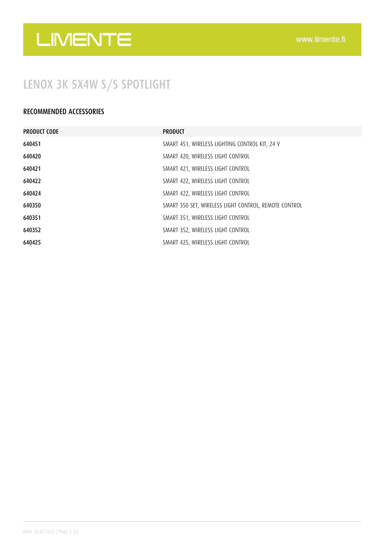## LENOX 3K 5X4W S/S SPOTLIGHT

#### RECOMMENDED ACCESSORIES

| <b>PRODUCT CODE</b> | <b>PRODUCT</b>                                        |
|---------------------|-------------------------------------------------------|
| 640451              | SMART 451, WIRELESS LIGHTING CONTROL KIT, 24 V        |
| 640420              | SMART 420, WIRELESS LIGHT CONTROL                     |
| 640421              | SMART 421, WIRELESS LIGHT CONTROL                     |
| 640422              | SMART 422, WIRELESS LIGHT CONTROL                     |
| 640424              | SMART 422, WIRELESS LIGHT CONTROL                     |
| 640350              | SMART 350 SET, WIRELESS LIGHT CONTROL, REMOTE CONTROL |
| 640351              | SMART 351, WIRELESS LIGHT CONTROL                     |
| 640352              | SMART 352, WIRELESS LIGHT CONTROL                     |
| 640425              | SMART 425, WIRELESS LIGHT CONTROL                     |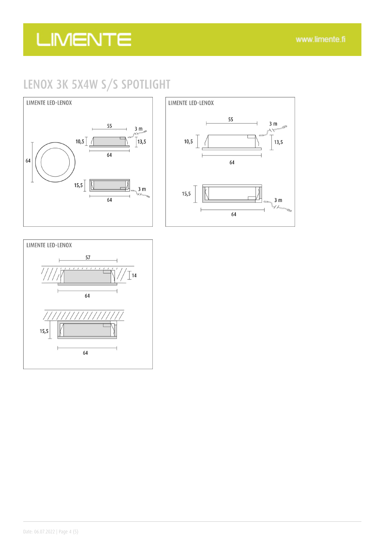### LENOX 3K 5X4W S/S SPOTLIGHT